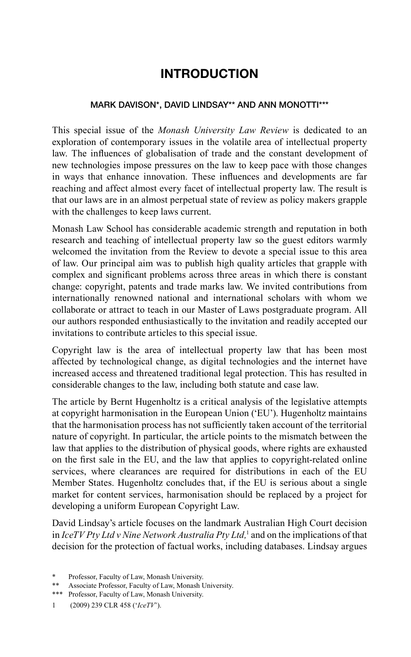## **INTRODUCTION**

## **MARK DAVISON\*, DAVID LINDSAY\*\* AND ANN MONOTTI\*\*\***

This special issue of the *Monash University Law Review* is dedicated to an exploration of contemporary issues in the volatile area of intellectual property law. The influences of globalisation of trade and the constant development of new technologies impose pressures on the law to keep pace with those changes in ways that enhance innovation. These influences and developments are far reaching and affect almost every facet of intellectual property law. The result is that our laws are in an almost perpetual state of review as policy makers grapple with the challenges to keep laws current.

Monash Law School has considerable academic strength and reputation in both research and teaching of intellectual property law so the guest editors warmly welcomed the invitation from the Review to devote a special issue to this area of law. Our principal aim was to publish high quality articles that grapple with complex and significant problems across three areas in which there is constant change: copyright, patents and trade marks law. We invited contributions from internationally renowned national and international scholars with whom we collaborate or attract to teach in our Master of Laws postgraduate program. All our authors responded enthusiastically to the invitation and readily accepted our invitations to contribute articles to this special issue.

Copyright law is the area of intellectual property law that has been most affected by technological change, as digital technologies and the internet have increased access and threatened traditional legal protection. This has resulted in considerable changes to the law, including both statute and case law.

The article by Bernt Hugenholtz is a critical analysis of the legislative attempts at copyright harmonisation in the European Union ('EU'). Hugenholtz maintains that the harmonisation process has not sufficiently taken account of the territorial nature of copyright. In particular, the article points to the mismatch between the law that applies to the distribution of physical goods, where rights are exhausted on the first sale in the EU, and the law that applies to copyright-related online services, where clearances are required for distributions in each of the EU Member States. Hugenholtz concludes that, if the EU is serious about a single market for content services, harmonisation should be replaced by a project for developing a uniform European Copyright Law.

David Lindsay's article focuses on the landmark Australian High Court decision in *IceTV Pty Ltd v Nine Network Australia Pty Ltd,*<sup>1</sup> and on the implications of that decision for the protection of factual works, including databases. Lindsay argues

Professor, Faculty of Law, Monash University.

<sup>\*\*</sup> Associate Professor, Faculty of Law, Monash University.

<sup>\*\*\*</sup> Professor, Faculty of Law, Monash University.

<sup>1 (2009) 239</sup> CLR 458 ('*IceTV*').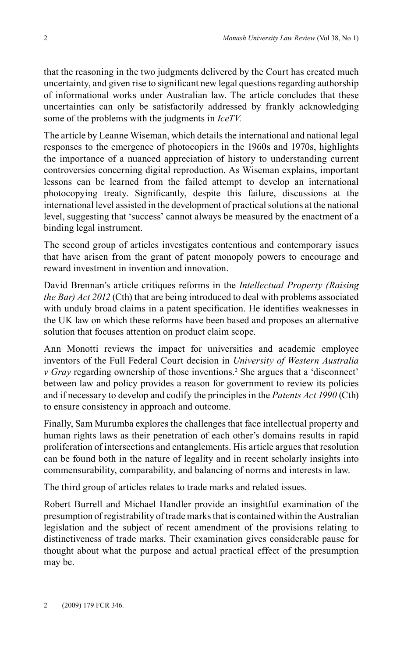that the reasoning in the two judgments delivered by the Court has created much uncertainty, and given rise to significant new legal questions regarding authorship of informational works under Australian law. The article concludes that these uncertainties can only be satisfactorily addressed by frankly acknowledging some of the problems with the judgments in *IceTV.*

The article by Leanne Wiseman, which details the international and national legal responses to the emergence of photocopiers in the 1960s and 1970s, highlights the importance of a nuanced appreciation of history to understanding current controversies concerning digital reproduction. As Wiseman explains, important lessons can be learned from the failed attempt to develop an international photocopying treaty. Significantly, despite this failure, discussions at the international level assisted in the development of practical solutions at the national level, suggesting that 'success' cannot always be measured by the enactment of a binding legal instrument.

The second group of articles investigates contentious and contemporary issues that have arisen from the grant of patent monopoly powers to encourage and reward investment in invention and innovation.

David Brennan's article critiques reforms in the *Intellectual Property (Raising the Bar) Act 2012* (Cth) that are being introduced to deal with problems associated with unduly broad claims in a patent specification. He identifies weaknesses in the UK law on which these reforms have been based and proposes an alternative solution that focuses attention on product claim scope.

Ann Monotti reviews the impact for universities and academic employee inventors of the Full Federal Court decision in *University of Western Australia v Gray* regarding ownership of those inventions.<sup>2</sup> She argues that a 'disconnect' between law and policy provides a reason for government to review its policies and if necessary to develop and codify the principles in the *Patents Act 1990* (Cth) to ensure consistency in approach and outcome.

Finally, Sam Murumba explores the challenges that face intellectual property and human rights laws as their penetration of each other's domains results in rapid proliferation of intersections and entanglements. His article argues that resolution can be found both in the nature of legality and in recent scholarly insights into commensurability, comparability, and balancing of norms and interests in law.

The third group of articles relates to trade marks and related issues.

Robert Burrell and Michael Handler provide an insightful examination of the presumption of registrability of trade marks that is contained within the Australian legislation and the subject of recent amendment of the provisions relating to distinctiveness of trade marks. Their examination gives considerable pause for thought about what the purpose and actual practical effect of the presumption may be.